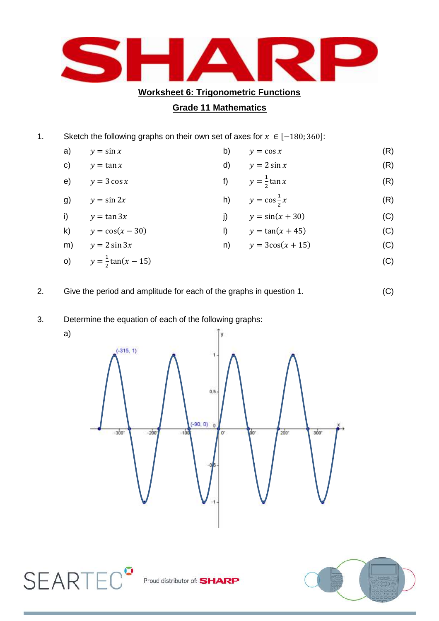

## **Grade 11 Mathematics**

- 1. Sketch the following graphs on their own set of axes for  $x \in [-180; 360]$ :
	- a)  $y = \sin x$  (R)  $y = \cos x$  (R) c)  $y = \tan x$  (R)  $y = 2 \sin x$  (R) e)  $y = 3 \cos x$  $\mathbf{1}$  $\frac{1}{2}$ tan x (R) g)  $y = \sin 2x$  $\mathbf{1}$  $\overline{\mathbf{c}}$  (R) i)  $y = \tan 3x$  <br> j)  $y = \sin(x + 30)$  (C) k)  $y = cos(x - 30)$  <br> |)  $y = tan(x + 45)$  (C) m)  $y = 2 \sin 3x$  n)  $y = 3\cos(x + 15)$  (C)
	- o)  $y = \frac{1}{2}$ 
		- $\frac{1}{2}$ tan(x 15) (C)
- 2. Give the period and amplitude for each of the graphs in question 1. (C)
	-

- 3. Determine the equation of each of the following graphs:
	- a)

**SEARTEC<sup>°</sup>** 



Proud distributor of: SHARP

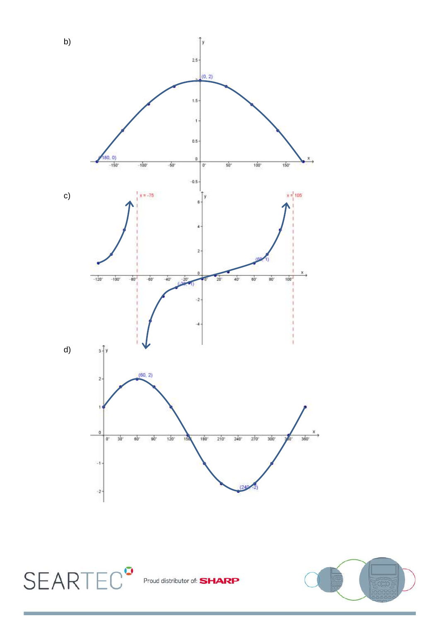

Proud distributor of: **SHARP** 

**SEARTEC<sup>®</sup>**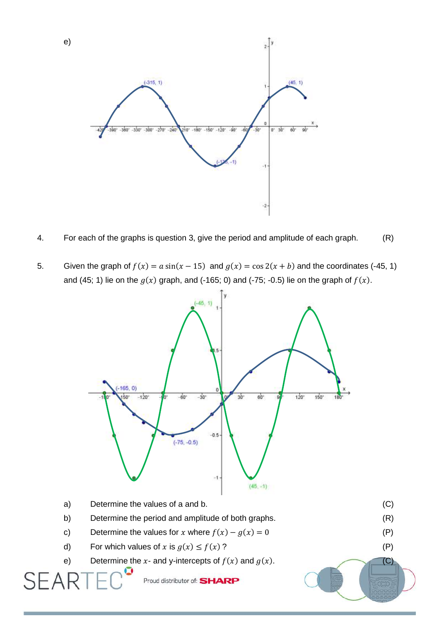

e)

- 4. For each of the graphs is question 3, give the period and amplitude of each graph. (R)
- 5. Given the graph of  $f(x) = a \sin(x 15)$  and  $g(x) = \cos 2(x + b)$  and the coordinates (-45, 1) and (45; 1) lie on the  $g(x)$  graph, and (-165; 0) and (-75; -0.5) lie on the graph of  $f(x)$ .



d) For which values of x is  $g(x) \le f(x)$ ? (P)

SEAF

e) Determine the x- and y-intercepts of  $f(x)$  and  $g(x)$ . (C)

Proud distributor of: SHARP